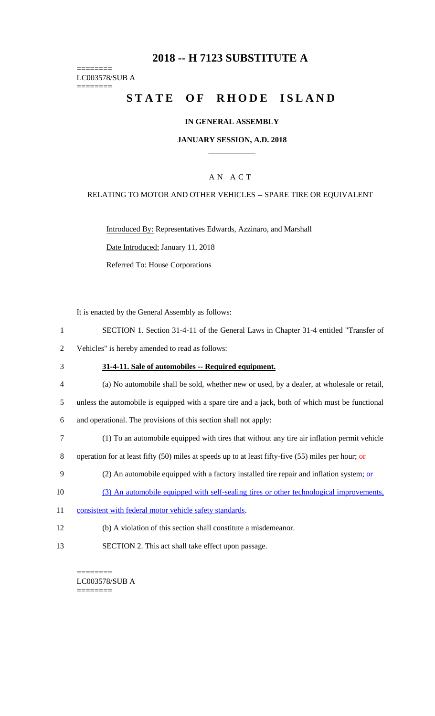## **2018 -- H 7123 SUBSTITUTE A**

======== LC003578/SUB A

========

## STATE OF RHODE ISLAND

#### **IN GENERAL ASSEMBLY**

#### **JANUARY SESSION, A.D. 2018 \_\_\_\_\_\_\_\_\_\_\_\_**

## A N A C T

#### RELATING TO MOTOR AND OTHER VEHICLES -- SPARE TIRE OR EQUIVALENT

Introduced By: Representatives Edwards, Azzinaro, and Marshall

Date Introduced: January 11, 2018

Referred To: House Corporations

It is enacted by the General Assembly as follows:

- 1 SECTION 1. Section 31-4-11 of the General Laws in Chapter 31-4 entitled "Transfer of
- 2 Vehicles" is hereby amended to read as follows:
- 3 **31-4-11. Sale of automobiles -- Required equipment.**
- 4 (a) No automobile shall be sold, whether new or used, by a dealer, at wholesale or retail,

5 unless the automobile is equipped with a spare tire and a jack, both of which must be functional

6 and operational. The provisions of this section shall not apply:

7 (1) To an automobile equipped with tires that without any tire air inflation permit vehicle

8 operation for at least fifty (50) miles at speeds up to at least fifty-five (55) miles per hour;  $\theta$ 

- 9 (2) An automobile equipped with a factory installed tire repair and inflation system; or
- 10 (3) An automobile equipped with self-sealing tires or other technological improvements,
- 11 consistent with federal motor vehicle safety standards.
- 12 (b) A violation of this section shall constitute a misdemeanor.
- 13 SECTION 2. This act shall take effect upon passage.

======== LC003578/SUB A ========